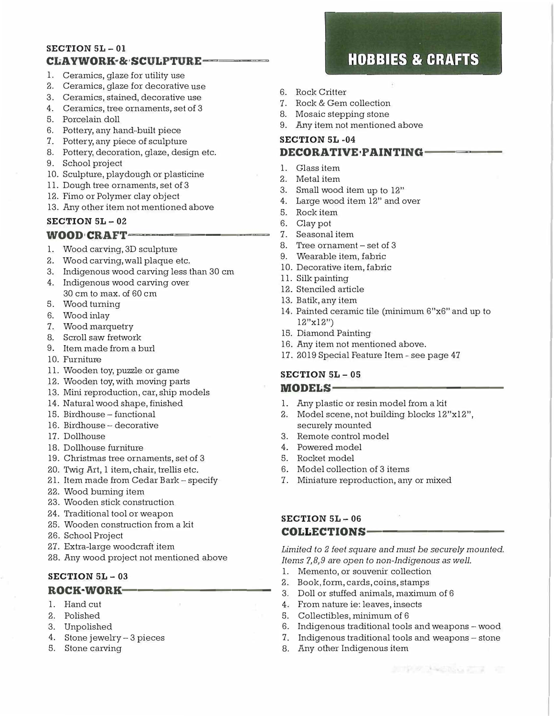#### **SECTION 5L- 01 CI..AYWORK·&·SCULPTURE----**

- 1. Ceramics, glaze for utility use
- 2. Ceramics, glaze for decorative use
- 3. Ceramics, stained, decorative use
- 4. Ceramics, tree ornaments, set of 3
- 5. Porcelain doll
- 6. Pottery, any hand-built piece
- 7. Pottery, any piece of sculpture
- 8. Pottery, decoration, glaze, design etc.
- 9. School project
- 10. Sculpture, playdough or plasticine
- 11. Dough tree ornaments, set of 3
- 12. Fimo or Polymer clay object
- 13. Any other item not mentioned above

#### **SECTION 5L** - **02 WOOD CRAFT----**

- 
- 1. Wood carving, 3D sculpture
- 2. Wood carving, wall plaque etc.
- 3. Indigenous wood carving less than 30 cm
- 4. Indigenous wood carving over 30 cm to max. of 60 cm
- 5. Wood turning
- 6. Wood inlay
- 7. Wood marquetry
- 8. Scroll saw fretwork
- 9. Item made from a burl
- 10. Furniture
- 11. Wooden toy, puzzle or game
- 12. Wooden toy, with moving parts
- 13. Mini reproduction, car, ship models
- 14. Natural wood shape, finished
- 15. Birdhouse functional
- 16. Birdhouse decorative
- 17. Dollhouse
- 18. Dollhouse furniture
- 19. Christmas tree ornaments, set of 3
- 20. Twig Art, 1 item, chair, trellis etc.
- 21. Item made from Cedar Bark specify
- 22. Wood burning item
- 23. Wooden stick construction
- 24. Traditional tool or weapon
- 25. Wooden construction from a kit
- 26. School Project
- 27. Extra-large woodcraft item
- 28. Any wood project not mentioned above

# **SECTION SL** - **03**

#### **ROCK·WORK----------**

- 1. Hand cut
- 2. Polished
- 3. Unpolished
- 4. Stone jewelry- 3 pieces
- 5. Stone carving

# **HOBBIES & CRAFTS**

- 6. Rock Critter
- 7. Rock & Gem collection
- 8. Mosaic stepping stone
- 9. Any item not mentioned above

## **SECTION 5L -04 DECORATIVE•PAINTING-**

- 1. Glass item
- 2. Metal item
- 3. Small wood item up to 12"
- 4. Large wood item 12" and over
- 5. Rock item
- 6. Clay pot
- 7. Seasonal item
- 8. Tree ornament set of 3
- 9. Wearable item, fabric
- 10. Decorative item, fabric
- 11. Silk painting
- 12. Stenciled article
- 13. Batik, any item
- 14. Painted ceramic tile (minimum 6"x6" and up to 12"xl 2")
- 15. Diamond Painting
- 16. Any item not mentioned above.
- 17. 2019 Special Feature Item see page 47

#### **SECTION 5L - 05**  MODELS-

- 1. Any plastic or resin model from a kit
- 2. Model scene, not building blocks 12"x12", securely mounted
- 3. Remote control model
- 4. Powered model
- 5. Rocket model
- 6. Model collection of 3 items
- 7. Miniature reproduction, any or mixed

#### **SECTION 5L - 06 COLLECTIONS-**

*Limited to 2 feet square and must be securely mounted. Items 7,8,9 are open to non-Indigenous as well.* 

- 1. Memento, or souvenir collection
- 2. Book, form, cards, coins, stamps
- 3. Doll or stuffed animals, maximum of 6
- 4. From nature ie: leaves, insects
- 5. Collectibles, minimum of 6
- 6. Indigenous traditional tools and weapons wood
- 7. Indigenous traditional tools and weapons stone
- 8. Any other Indigenous item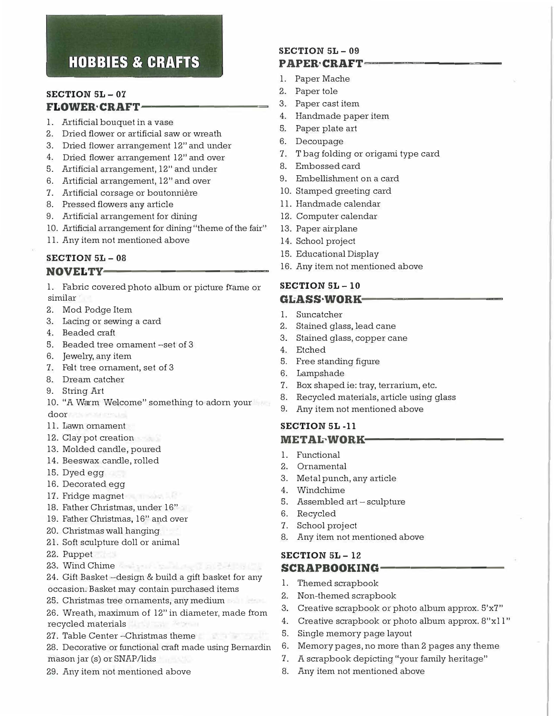# **HOBBIES & CRAFTS**

#### **SECTION SL - 07 FLOWER CRAFT-**

- 1. Artificial bouquet in a vase
- 2. Dried flower or artificial saw or wreath
- 3. Dried flower arrangement 12" and under
- 4. Dried flower arrangement 12" and over
- 5. Artificial arrangement, 12" and under
- 6. Artificial arrangement, 12" and over
- 7. Artificial corsage or boutonniere
- 8. Pressed flowers any article
- 9. Artificial arrangement for dining
- 10. Artificial arrangement for dining "theme of the fair"
- 11. Any item not mentioned above

### **SECTION 5L - 08**  NOVELTY-

- 1. Fabric covered photo album or picture frame or similar
- 2. Mod Podge Item
- 3. Lacing or sewing a card
- 4. Beaded craft
- 5. Beaded tree ornament -set of 3
- 6. Jewelry, any item
- 7. Felt tree ornament, set of 3
- 8. Dream catcher
- 9. String Art
- 10. "A Warm Welcome" something to adorn your door
- 11. Lawn ornament
- 12. Clay pot creation
- 13. Molded candle, poured
- 14. Beeswax candle, rolled
- 15. Dyed egg
- 16. Decorated egg
- 17. Fridge magnet
- 18. Father Christmas, under 16"
- 19. Father Christmas, 16" and over
- 20. Christmas wall hanging
- 21. Soft sculpture doll or animal
- 22. Puppet
- 23. Wind Chime
- 24. Gift Basket -design & build a gift basket for any occasion. Basket may contain purchased items
- 25. Christmas tree ornaments, any medium
- 26. Wreath, maximum of 12" in diameter, made from recycled materials
- 27. Table Center -Christmas theme

28. Decorative or functional craft made using Bernardin mason jar (s) or SNAP/lids

state to the County

29. Any item not mentioned above

#### **SECTION 5L - 09**  PAPER·CRAFT-

- 1. Paper Mache
- 2. Paper tole
- 3. Paper cast item
- 4. Handmade paper item
- 5. Paper plate art
- 6. Decoupage
- 7. T bag folding or origami type card
- 8. Embossed card
- 9. Embellishment on a card
- 10. Stamped greeting card
- 11. Handmade calendar
- 12. Computer calendar
- 13. Paper airplane
- 14. School project
- 15. Educational Display
- 16. Any item not mentioned above

#### **SECTION SL- 10**   $GLASSWORK-$

- 1. Suncatcher
- 2. Stained glass, lead cane
- 3. Stained glass, copper cane
- 4. Etched
- 5. Free standing figure
- 6. Lampshade
- 7. Box shaped ie: tray, terrarium, etc.
- 8. Recycled materials, article using glass
- 9. Any item not mentioned above

#### **SECTION 5L -11 METAL-WORK-**

- 1. Functional
- 2. Ornamental
- 3. Metal punch, any article
- 4. Windchime
- 5. Assembled art sculpture
- 6. Recycled
- 7. School project
- 8. Any item not mentioned above

# **SECTION 5L- 12**  SCRAPBOOKING-

- 1. Themed scrapbook
- 2. Non-themed scrapbook
- 3. Creative scrapbook or photo album approx. 5'x7"
- 4. Creative scrapbook or photo album approx. 8"xl l"
- 5. Single memory page layout
- 6. Memory pages, no more than 2 pages any theme
- 7. A scrapbook depicting "your family heritage"
- 8. Any item not mentioned above